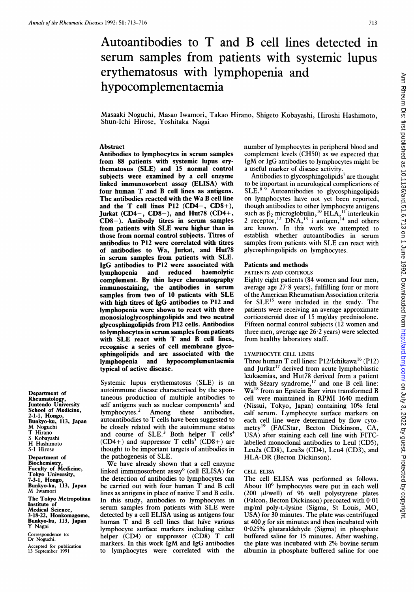# Autoantibodies to T and B cell lines detected in serum samples from patients with systemic lupus erythematosus with lymphopenia and hypocomplementaemia

Masaaki Noguchi, Masao Iwamori, Takao Hirano, Shigeto Kobayashi, Hiroshi Hashimoto, Shun-Ichi Hirose, Yoshitaka Nagai

# Abstract

Antibodies to lymphocytes in serum samples from 88 patients with systemic lupus erythematosus (SLE) and 15 normal control subjects were examined by a cell enzyme linked immunosorbent assay (ELISA) with four human T and B cell lines as antigens. The antibodies reacted with the Wa B cell line and the T cell lines P12 (CD4-, CD8+), Jurkat  $(CD4-, CD8-),$  and Hut78  $(CD4+,$ CD8-). Antibody titres in serum samples from patients with SLE were higher than in those from normal control subjects. Titres of antibodies to P12 were correlated with titres of antibodies to Wa, Jurkat, and Hut78 in serum samples from patients with SLE. IgG antibodies to P12 were associated with<br>lymphopenia and reduced haemolytic lymphopenia complement. By thin layer chromatography immunostaining, the antibodies in serum samples from two of <sup>10</sup> patients with SLE with high titres of IgG antibodies to P12 and lymphopenia were shown to react with three monosialoglycosphingolipids and two neutral glycosphingolipids from P12 cells. Antibodies to lymphocytes in serum samples from patients with SLE react with T and B cell lines, recognise a series of cell membrane glycosphingolipids and are associated with the<br>lymphopenia and hypocomplementaemia lymphopenia and hypocomplementaemia typical of active disease.

Department of Rheumatology, Juntendo University School of Medicine, 2-1-1, Hongo, Bunkyo-ku, 113, Japan M Noguchi T Hirano S Kobayashi H Hashimoto S-I Hirose

Department of Biochemistry, Faculty of Medicine, Tokyo University, 7-3-1, Hongo, Bunkyo-ku, 113, Japan M Iwamori The Tokyo Metropolitan Institute of Medical Science, 3-18-22, Honkomagome, Bunkyo-ku, 113, Japan Y Nagai Correspondence to: Dr Noguchi.

Accepted for publication 13 September 1991

Systemic lupus erythematosus (SLE) is an autoimmune disease characterised by the spontaneous production of multiple antibodies to self antigens such as nuclear components<sup>1</sup> and lymphocytes.2 Among these antibodies, autoantibodies to T cells have been suggested to be closely related with the autoimmune status and course of  $SLE<sup>3</sup>$  Both helper T cells<sup>4</sup> (CD4+) and suppressor T cells<sup>5</sup> (CD8+) are thought to be important targets of antibodies in the pathogenesis of SLE.

We have already shown that <sup>a</sup> cell enzyme linked immunosorbent assay6 (cell ELISA) for the detection of antibodies to lymphocytes can be carried out with four human T and B cell lines as antigens in place of native T and B cells. In this study, antibodies to lymphocytes in serum samples from patients with SLE were detected by <sup>a</sup> cell ELISA using as antigens four human T and B cell lines that have various lymphocyte surface markers including either helper (CD4) or suppressor (CD8) T cell markers. In this work IgM and IgG antibodies to lymphocytes were correlated with the number of lymphocytes in peripheral blood and complement levels (CH50) as we expected that IgM or IgG antibodies to lymphocytes might be a useful marker of disease activity.

Antibodies to glycosphingolipids<sup>7</sup> are thought to be important in neurological complications of SLE.<sup>89</sup> Autoantibodies to glycosphingolipids on lymphocytes have not yet been reported, though antibodies to other lymphocyte antigens such as  $\beta_2$  microglobulin,<sup>10</sup> HLA,<sup>11</sup> interleukin 2 receptor, <sup>12</sup> DNA, <sup>13</sup> i antigen, <sup>14</sup> and others are known. In this work we attempted to establish whether autoantibodies in serum samples from patients with SLE can react with glycosphingolipids on lymphocytes.

# Patients and methods

# PATIENTS AND CONTROLS

Eighty eight patients (84 women and four men, average age 27-8 years), fulfilling four or more ofthe American Rheumatism Association criteria for  $SLE<sup>15</sup>$  were included in the study. The patients were receiving an average approximate corticosteroid dose of 15 mg/day prednisolone. Fifteen normal control subjects (12 women and three men, average age 26-2 years) were selected from healthy laboratory staff.

# LYMPHOCYTE CELL LINES

Three human T cell lines: P12/Ichikawa'6 (P12) and Jurkat<sup>17</sup> derived from acute lymphoblastic leukaemias, and Hut78 derived from a patient with Sézary syndrome, $^{17}$  and one B cell line: Wa'8 from an Epstein Barr virus transformed B cell were maintained in RPMI 1640 medium (Nissui, Tokyo, Japan) containing 10% fetal calf serum. Lymphocyte surface markers on each cell line were determined by flow cytometry<sup>19</sup> (FACStar, Becton Dickinson, CA, USA) after staining each cell line with FITClabelled monoclonal antibodies to Leul (CD5), Leu2a (CD8), Leu3a (CD4), Leu4 (CD3), and HLA-DR (Becton Dickinson).

#### CELL ELISA

The cell ELISA was performed as follows. About 10<sup>6</sup> lymphocytes were put in each well  $(200 \mu l/well)$  of 96 well polystyrene plates (Falcon, Becton Dickinson) precoated with 0-01 mg/ml poly-L-lysine (Sigma, St Louis, MO, USA) for 30 minutes. The plate was centrifuged at 400 g for six minutes and then incubated with 0-025% glutaraldehyde (Sigma) in phosphate buffered saline for 15 minutes. After washing, the plate was incubated with 2% bovine serum albumin in phosphate buffered saline for one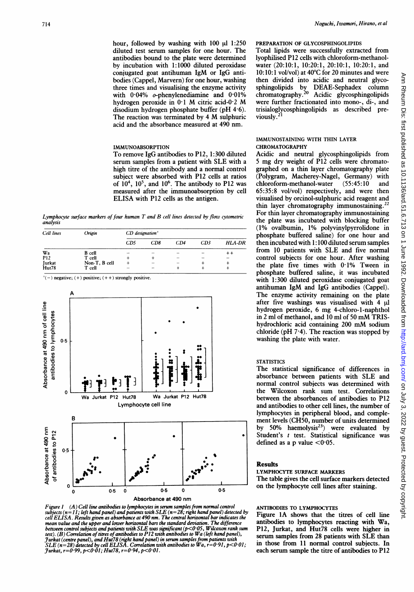hour, followed by washing with  $100 \mu l$  1:250 diluted test serum samples for one hour. The antibodies bound to the plate were determined by incubation with 1:1000 diluted peroxidase conjugated goat antihuman IgM or IgG antibodies (Cappel, Marvern) for one hour, washing three times and visualising the enzyme activity with  $0.04\%$  o-phenylenediamine and  $0.01\%$ hydrogen peroxide in <sup>01</sup> M citric acid-0-2 M disodium hydrogen phosphate buffer (pH 4.6). The reaction was terminated by <sup>4</sup> M sulphuric acid and the absorbance measured at 490 nm.

#### IMMUNOABSORPTION

To remove IgG antibodies to P12, 1:300 diluted serum samples from <sup>a</sup> patient with SLE with <sup>a</sup> high titre of the antibody and a normal control subject were absorbed with P12 cells at ratios of  $10^4$ ,  $10^5$ , and  $10^6$ . The antibody to P12 was measured after the immunoabsorption by cell ELISA with P12 cells as the antigen.

Lymphocyte surface markers of four human  $T$  and  $B$  cell lines detected by flow cytometric analysis

| Cell lines    | Origin        | $CD$ designation*        |     |                          |     |                          |
|---------------|---------------|--------------------------|-----|--------------------------|-----|--------------------------|
|               |               | CD5                      | CD8 | CD4                      | CD3 | <b>HLA-DR</b>            |
| Wa            | <b>B</b> cell |                          |     |                          |     | ++                       |
| <b>P12</b>    | T cell        |                          | ۰   | $\overline{\phantom{a}}$ |     | $\overline{\phantom{0}}$ |
| <b>Jurkat</b> | Non-T, B cell |                          | -   | $\sim$                   |     |                          |
| Hut78         | T cell        | $\overline{\phantom{a}}$ | -   |                          |     |                          |

 $*(-)$  negative; (+) positive; (++) strongly positive.



Figure I (A) Cell line antibodies to lymphocytes in serum samples from normal control subjects (n= I1; left hand panel) and patients with SLE (n=28; right hand panel) detected by cell ELISA. Results given as absorbance at 490 nm. The central horizontal bar indicates the mean value and the upper and lower horizontal bars the standard deviation. The difference<br>between control subjects and patients with SLE was significant (p<0 ·05, Wilcoxon rank sum<br>test). (B) Correlation of titres of anti  $Junkat, r=0.99, p<0.01; Hu178, r=0.94, p<0.01$ .

#### PREPARATION OF GLYCOSPHINGOLIPIDS

Total lipids were successfully extracted from lyophilised P12 cells with chloroform-methanolwater (20:10:1, 10:20:1, 20:10:1, 10:20:1, and 10:10:1 vol/vol) at 40°C for 20 minutes and were then divided into acidic and neutral glycosphingolipids by DEAE-Sephadex column chromatography.20 Acidic glycosphingolipids were further fractionated into mono-, di-, and trisialoglycosphingolipids as described previously.2'

#### IMMUNOSTAINING WITH THIN LAYER CHROMATOGRAPHY

Acidic and neutral glycosphingolipids from 5 mg dry weight of P12 cells were chromatographed on a thin layer chromatography plate (Polygram, Macherey-Nagel, Germany) with<br>chloroform-methanol-water (55:45:10 and chloroform-methanol-water (55:45:10 and 65:35:8 vol/vol) respectively, and were then visualised by orcinol-sulphuric acid reagent and thin layer chromatography immunostaining.<sup>2</sup> For thin layer chromatography immunostaining the plate was incubated with blocking buffer (1% ovalbumin, 1% polyvinylpyrrolidone in phosphate buffered saline) for one hour and then incubated with 1:100 diluted serum samples from 10 patients with SLE and five normal control subjects for one hour. After washing the plate five times with 0-1% Tween in phosphate buffered saline, it was incubated with 1:300 diluted peroxidase conjugated goat antihuman IgM and IgG antibodies (Cappel). The enzyme activity remaining on the plate after five washings was visualised with  $\overline{4}$  ul hydrogen peroxide, 6 mg 4-chloro-1-naphthol in <sup>2</sup> ml of methanol, and <sup>10</sup> ml of <sup>50</sup> mM TRIShydrochloric acid containing <sup>200</sup> mM sodium chloride ( $pH$  7 $\cdot$ 4). The reaction was stopped by washing the plate with water.

#### **STATISTICS**

The statistical significance of differences in absorbance between patients with SLE and normal control subjects was determined with the Wilcoxon rank sum test. Correlations between the absorbances of antibodies to P12 and antibodies to other cell lines, the number of lymphocytes in peripheral blood, and complement levels (CH50, number of units determined by 50% haemolysis<sup>23</sup>) were evaluated by Student's *t* test. Statistical significance was defined as a p value  $< 0.05$ .

#### Results

#### LYMPHOCYTE SURFACE MARKERS The table gives the cell surface markers detected on the lymphocyte cell lines after staining.

# ANTIBODIES TO LYMPHOCYTES

Figure lA shows that the titres of cell line antibodies to lymphocytes reacting with Wa, P12, Jurkat, and Hut78 cells were higher in serum samples from 28 patients with SLE than in those from 11 normal control subjects. In each serum sample the titre of antibodies to P12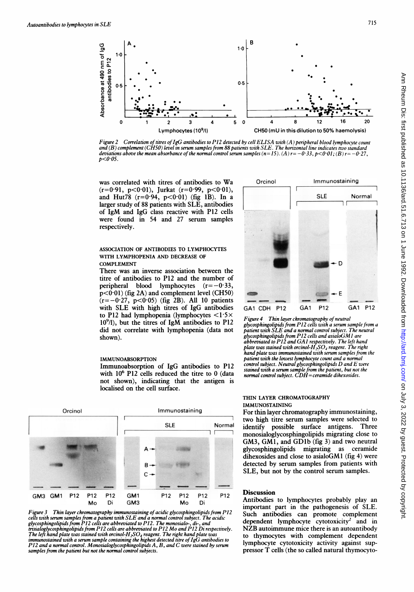

Figure 2 Correlation of titres of IgG antibodies to P12 detected by cell ELISA with (A) peripheral blood lymphocyte count and (B) complement (CH50) level in serum samples from 88 patients with SLE. The horizontal line indicates two standard deviations above the mean absorbance of the normal control serum samples  $(n=15)$ . (A)  $r=-0.33$ ,  $p\leq 0.01$ ; (B)  $r=-0.27$ ,  $p < 0.05$ .

was correlated with titres of antibodies to Wa  $(r=0.91, p<0.01)$ , Jurkat  $(r=0.99, p<0.01)$ , and Hut78 (r=0-94, p<0 01) (fig IB). In <sup>a</sup> larger study of 88 patients with SLE, antibodies of IgM and IgG class reactive with P12 cells were found in 54 and 27 serum samples respectively.

#### ASSOCIATION OF ANTIBODIES TO LYMPHOCYTES WITH LYMPHOPENIA AND DECREASE OF COMPLEMENT

There was an inverse association between the titre of antibodies to P12 and the number of peripheral blood lymphocytes  $(r=-0.33)$ ,  $p<0.01$ ) (fig 2A) and complement level (CH50)  $(r=-0.27, p<0.05)$  (fig 2B). All 10 patients with SLE with high titres of IgG antibodies to P12 had lymphopenia (lymphocytes  $\langle 1.5 \times$ 109/1), but the titres of IgM antibodies to P12 did not correlate with lymphopenia (data not shown).

#### IMMUNOABSORPTION

Immunoabsorption of IgG antibodies to P12 with 10<sup>6</sup> P12 cells reduced the titre to 0 (data not shown), indicating that the antigen is localised on the cell surface.



Figure 3 Thin layer chromatography immunostaining of acidic glycosphingolipids from P12 cells with serum samples from a patient with SLE and a normal control subject. The acidic glycosphingolipids from P12 cells are abbreviated to P12. The monosialo-, di-, and trisialoglycosphingolipids from P12 cells are abbreviated to P12 Mo and P12 Di respectively. The left hand plate was stained with orcinol-H<sub>2</sub>SO<sub>4</sub> reagent. The right hand plate was<br>immunostained with a serum sample containing the highest detected titre of IgG antibodies to P12 and a normal control. Monosialoglycosphingolipids A, B, and C were stained by serum samples from the patient but not the normal control subjects.



Figure 4 Thin layer chromatography of neutral glycosphingolipids from P12 cells with a serum sample from a patient with SLE and a normal control subject. The neutral glycosphingolipids from P12 cells and asialoGM <sup>I</sup> are abbreviated to P12 and GA<sup>I</sup> respectively. The left hand plate was stained with orcinol-H<sub>2</sub>SO<sub>4</sub> reagent. The right hand plate was immunostained with serum samples from the patient with the lowest lymphocyte count and a normal control subject. Neutral glycosphingolipids D and E were stained with a serum sample from the patient, but not the normal control subject. CDH=ceramide dihexosides.

#### THIN LAYER CHROMATOGRAPHY IMMUNOSTAINING

For thin layer chromatography immunostaining, two high titre serum samples were selected to identify possible surface antigens. Three monosialoglycosphingolipids migrating close to GM3, GMI, and GDlb (fig 3) and two neutral glycosphingolipids migrating as ceramide dihexosides and close to asialoGM1 (fig 4) were detected by serum samples from patients with SLE, but not by the control serum samples.

# **Discussion**

Antibodies to lymphocytes probably play an important part in the pathogenesis of SLE. Such antibodies can promote complement dependent lymphocyte cytotoxicity<sup>2</sup> and in NZB autoimmune mice there is an autoantibody to thymocytes with complement dependent lymphocyte cytotoxicity activity against suppressor T cells (the so called natural thymocyto